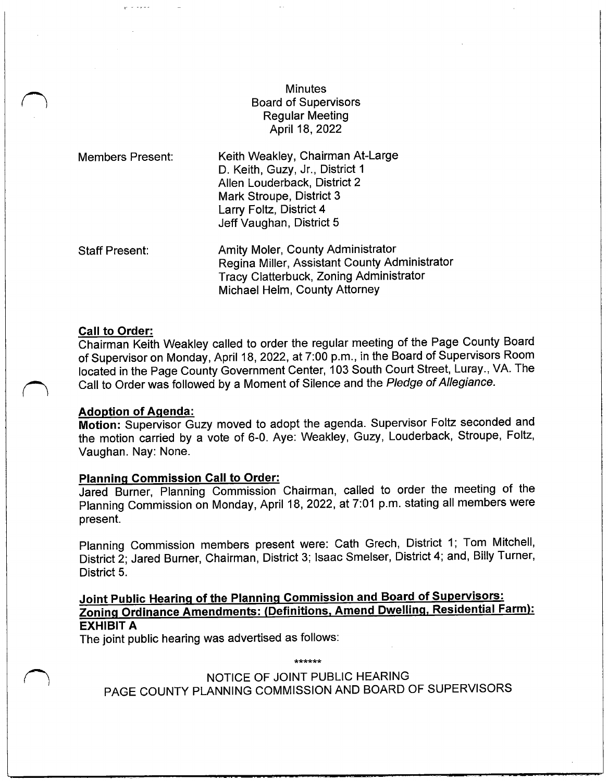# **Minutes** Board of Supervisors Regular Meeting April 18, 2022

| <b>Members Present:</b> | Keith Weakley, Chairman At-Large<br>D. Keith, Guzy, Jr., District 1<br>Allen Louderback, District 2<br>Mark Stroupe, District 3<br>Larry Foltz, District 4<br>Jeff Vaughan, District 5 |  |  |  |
|-------------------------|----------------------------------------------------------------------------------------------------------------------------------------------------------------------------------------|--|--|--|
| <b>Staff Present:</b>   | Amity Moler, County Administrator<br>Peging Miller, Assistant County Admi                                                                                                              |  |  |  |

Regina Miller, Assistant County Administrator Tracy Clatterbuck, Zoning Administrator Michael Helm, County Attorney

#### Call to Order:

Chairman Keith Weakley called to order the regular meeting of the Page County Board of Supervisor on Monday, April 18, 2022, at 7:<sup>00</sup> p. m., in the Board of Supervisors Room located in the Page County Government Center, <sup>103</sup> South Court Street, Luray., VA. The Call to Order was followed by a Moment of Silence and the Pledge of Allegiance.

# Adoption of Agenda:

Motion: Supervisor Guzy moved to adopt the agenda. Supervisor Foltz seconded and the motion carried by a vote of 6-0. Aye: Weakley, Guzy, Louderback, Stroupe, Foltz, Vaughan. Nay: None.

#### Planning Commission Call to Order:

Jared Burner, Planning Commission Chairman, called to order the meeting of the Planning Commission on Monday, April 18, 2022, at 7:01 p.m. stating all members were present.

Planning Commission members present were: Cath Grech, District 1; Tom Mitchell, District 2; Jared Burner, Chairman, District 3; Isaac Smelser, District 4; and, Billy Turner, District 5.

# Joint Public Hearing of the Planning Commission and Board of Supervisors: Zoning Ordinance Amendments: (Definitions, Amend Dwelling, Residential Farm): EXHIBIT A

The joint public hearing was advertised as follows:

NOTICE OF JOINT PUBLIC HEARING PAGE COUNTY PLANNING COMMISSION AND BOARD OF SUPERVISORS

مواطنا موامله موارثها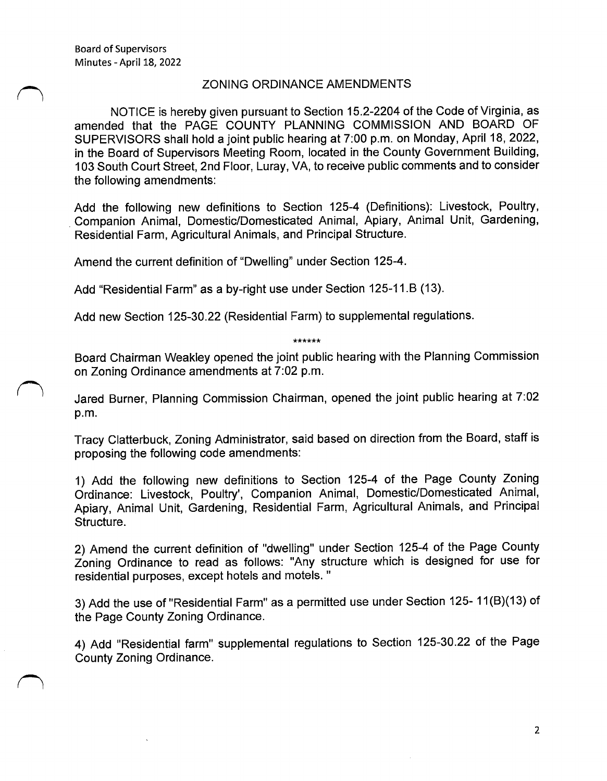r <sup>1</sup>

l

#### ZONING ORDINANCE AMENDMENTS

NOTICE is hereby given pursuant to Section 15. 2- 2204 of the Code of Virginia, as amended that the PAGE COUNTY PLANNING COMMISSION AND BOARD OF SUPERVISORS shall hold a joint public hearing at 7: 00 p. m. on Monday, April 18, 2022, in the Board of Supervisors Meeting Room, located in the County Government Building, 103 South Court Street, 2nd Floor, Luray, VA, to receive public comments and to consider the following amendments:

Add the following new definitions to Section 125-4 ( Definitions): Livestock, Poultry, Companion Animal, Domestic/Domesticated Animal, Apiary, Animal Unit, Gardening, Residential Farm, Agricultural Animals, and Principal Structure.

Amend the current definition of "Dwelling" under Section 125-4.

Add "Residential Farm" as a by-right use under Section 125-11.B (13).

Add new Section 125-30.22 (Residential Farm) to supplemental regulations.

\*\*\*\*\*\*

Board Chairman Weakley opened the joint public hearing with the Planning Commission on Zoning Ordinance amendments at 7: 02 p. m.

Jared Burner, Planning Commission Chairman, opened the joint public hearing at 7: 02 p. m.

Tracy Clatterbuck, Zoning Administrator, said based on direction from the Board, staff is proposing the following code amendments:

1) Add the following new definitions to Section 125-4 of the Page County Zoning Ordinance: Livestock, Poultry', Companion Animal, Domestic/Domesticated Animal, Apiary, Animal Unit, Gardening, Residential Farm, Agricultural Animals, and Principal Structure.

2) Amend the current definition of "dwelling" under Section 125-4 of the Page County Zoning Ordinance to read as follows: "Any structure which is designed for use for residential purposes, except hotels and motels. "

3) Add the use of "Residential Farm" as a permitted use under Section 125-11(B)(13) of the Page County Zoning Ordinance.

4) Add "Residential farm" supplemental regulations to Section 125-30.22 of the Page County Zoning Ordinance.

2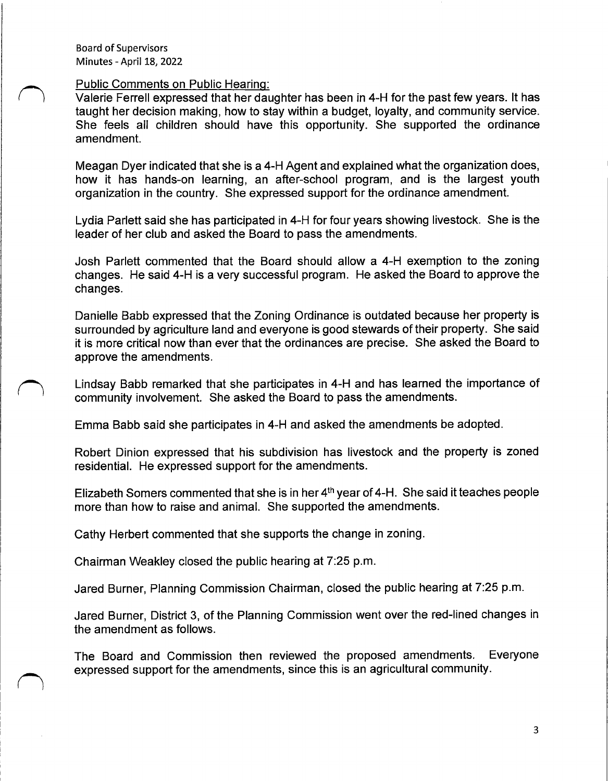#### Public Comments on Public Hearing:

Valerie Ferrell expressed that her daughter has been in 4- H for the past few years. It has taught her decision making, how to stay within a budget, loyalty, and community service. She feels all children should have this opportunity. She supported the ordinance amendment.

Meagan Dyer indicated that she is a 4-H Agent and explained what the organization does, how it has hands-on learning, an after-school program, and is the largest youth organization in the country. She expressed support for the ordinance amendment.

Lydia Parlett said she has participated in 4-H for four years showing livestock. She is the leader of her club and asked the Board to pass the amendments.

Josh Parlett commented that the Board should allow a 4-H exemption to the zoning changes. He said 4-H is a very successful program. He asked the Board to approve the changes.

Danielle Babb expressed that the Zoning Ordinance is outdated because her property is surrounded by agriculture land and everyone is good stewards of their property. She said it is more critical now than ever that the ordinances are precise. She asked the Board to approve the amendments.

Lindsay Babb remarked that she participates in 4-H and has learned the importance of community involvement. She asked the Board to pass the amendments.

Emma Babb said she participates in 4- H and asked the amendments be adopted.

Robert Dinion expressed that his subdivision has livestock and the property is zoned residential. He expressed support for the amendments.

Elizabeth Somers commented that she is in her  $4<sup>th</sup>$  year of 4-H. She said it teaches people more than how to raise and animal. She supported the amendments.

Cathy Herbert commented that she supports the change in zoning.

Chairman Weakley closed the public hearing at 7:25 p.m.

Jared Burner, Planning Commission Chairman, closed the public hearing at 7:25 p. m.

Jared Burner, District 3, of the Planning Commission went over the red-lined changes in the amendment as follows.

The Board and Commission then reviewed the proposed amendments. Everyone expressed support for the amendments, since this is an agricultural community.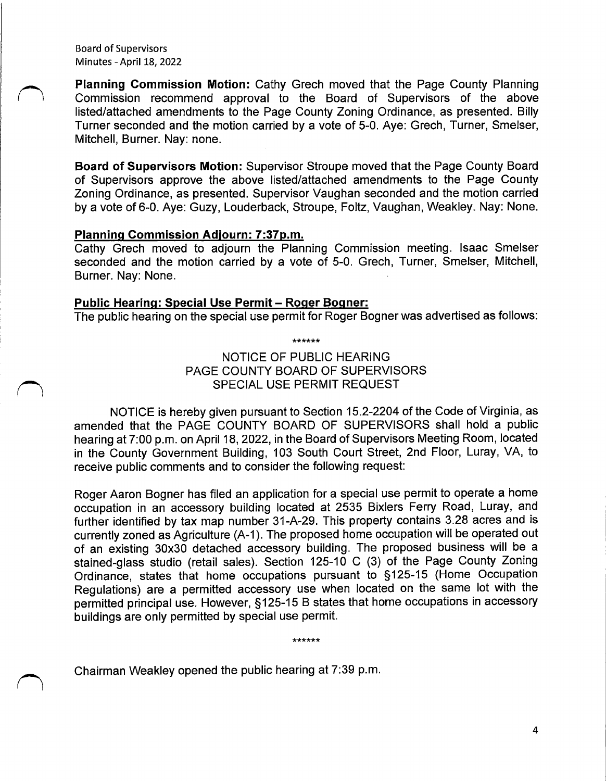Planning Commission Motion: Cathy Grech moved that the Page County Planning Commission recommend approval to the Board of Supervisors of the above listed/attached amendments to the Page County Zoning Ordinance, as presented. Billy Turner seconded and the motion carried by a vote of 5-0. Aye: Grech, Turner, Smelser, Mitchell, Burner. Nay: none.

Board of Supervisors Motion: Supervisor Stroupe moved that the Page County Board of Supervisors approve the above listed/attached amendments to the Page County Zoning Ordinance, as presented. Supervisor Vaughan seconded and the motion carried by a vote of 6-0. Aye: Guzy, Louderback, Stroupe, Foltz, Vaughan, Weakley. Nay: None.

#### Planning Commission Adjourn: 7: 37p.m.

Cathy Grech moved to adjourn the Planning Commission meeting. Isaac Smelser seconded and the motion carried by a vote of 5-0. Grech, Turner, Smelser, Mitchell, Burner. Nay: None.

#### Public Hearing: Special Use Permit— Roger Bogner:

The public hearing on the special use permit for Roger Bogner was advertised as follows:

\*\*\*\*\*\*

# NOTICE OF PUBLIC HEARING PAGE COUNTY BOARD OF SUPERVISORS SPECIAL USE PERMIT REQUEST

NOTICE is hereby given pursuant to Section 15. 2- 2204 of the Code of Virginia, as amended that the PAGE COUNTY BOARD OF SUPERVISORS shall hold a public hearing at 7: 00 p. m. on April 18, 2022, in the Board of Supervisors Meeting Room, located in the County Government Building, 103 South Court Street, 2nd Floor, Luray, VA, to receive public comments and to consider the following request:

Roger Aaron Bogner has filed an application for a special use permit to operate a home occupation in an accessory building located at 2535 Bixlers Ferry Road, Luray, and further identified by tax map number 31-A-29. This property contains 3.28 acres and is currently zoned as Agriculture (A-1). The proposed home occupation will be operated out of an existing 30x30 detached accessory building. The proposed business will be <sup>a</sup> stained-glass studio (retail sales). Section 125-10 C (3) of the Page County Zoning Ordinance, states that home occupations pursuant to §125-15 (Home Occupation Regulations) are a permitted accessory use when located on the same lot with the permitted principal use. However, § 125- 15 B states that home occupations in accessory buildings are only permitted by special use permit.

\*\*\*\*\*\*

Chairman Weakley opened the public hearing at 7: 39 p. m.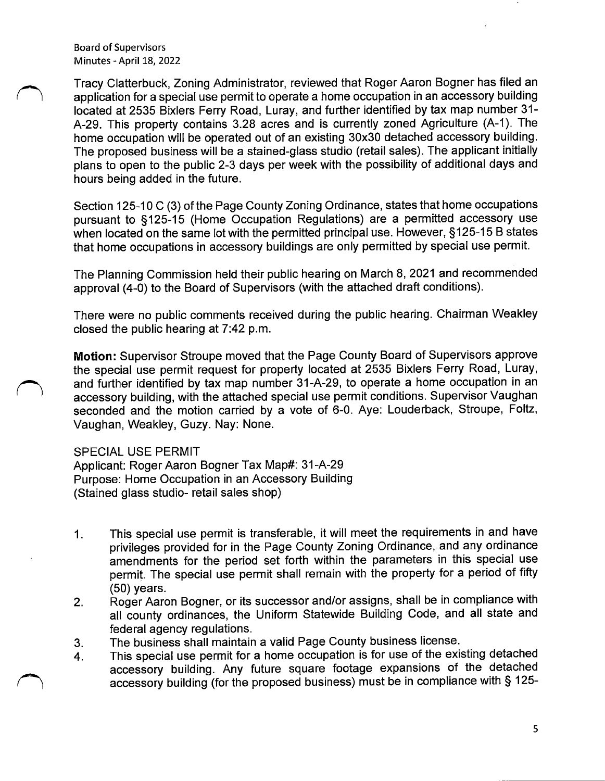Tracy Clatterbuck, Zoning Administrator, reviewed that Roger Aaron Bogner has filed an application for a special use permit to operate a home occupation in an accessory building located at 2535 Bixlers Ferry Road, Luray, and further identified by tax map number 31- A-29. This property contains 3.28 acres and is currently zoned Agriculture (A-1). The home occupation will be operated out of an existing 30x30 detached accessory building. The proposed business will be a stained-glass studio ( retail sales). The applicant initially plans to open to the public 2-3 days per week with the possibility of additional days and hours being added in the future.

Section 125-10 C (3) of the Page County Zoning Ordinance, states that home occupations pursuant to §125-15 (Home Occupation Regulations) are a permitted accessory use when located on the same lot with the permitted principal use. However, §125-15 B states that home occupations in accessory buildings are only permitted by special use permit.

The Planning Commission held their public hearing on March 8, 2021 and recommended approval (4-0) to the Board of Supervisors (with the attached draft conditions).

There were no public comments received during the public hearing. Chairman Weakley closed the public hearing at 7:42 p.m.

Motion: Supervisor Stroupe moved that the Page County Board of Supervisors approve the special use permit request for property located at 2535 Bixlers Ferry Road, Luray, and further identified by tax map number 31-A-29, to operate a home occupation in an accessory building, with the attached special use permit conditions. Supervisor Vaughan seconded and the motion carried by a vote of 6-0. Aye: Louderback, Stroupe, Foltz, Vaughan, Weakley, Guzy. Nay: None.

SPECIAL USE PERMIT

Applicant: Roger Aaron Bogner Tax Map#: 31-A-29 Purpose: Home Occupation in an Accessory Building Stained glass studio- retail sales shop)

- 1. This special use permit is transferable, it will meet the requirements in and have privileges provided for in the Page County Zoning Ordinance, and any ordinance amendments for the period set forth within the parameters in this special use permit. The special use permit shall remain with the property for a period of fifty 50) years.
- 2. Roger Aaron Bogner, or its successor and/or assigns, shall be in compliance with all county ordinances, the Uniform Statewide Building Code, and all state and federal agency regulations.
- 3. The business shall maintain a valid Page County business license.
- 4. This special use permit for a home occupation is for use of the existing detached accessory building. Any future square footage expansions of the detached accessory building (for the proposed business) must be in compliance with § 125-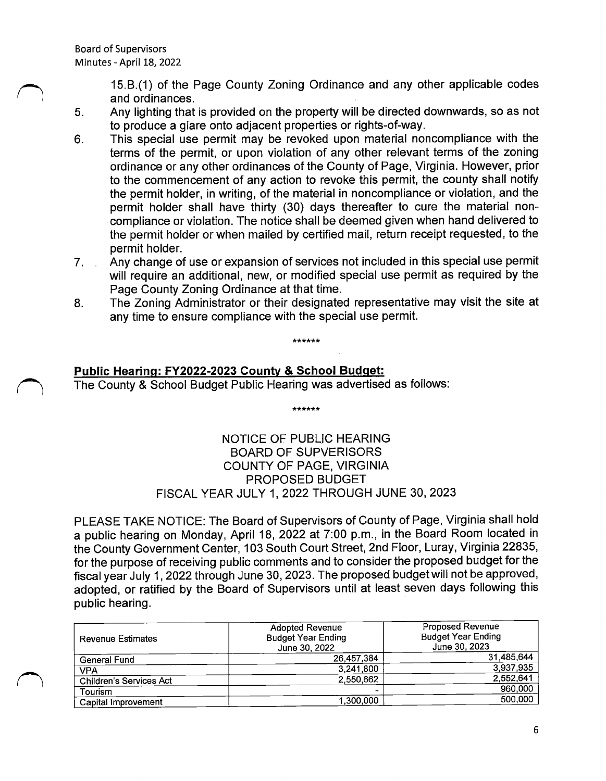$\overline{\phantom{0}}$ 

15. B.( 1) of the Page County Zoning Ordinance and any other applicable codes and ordinances.

- 5. Any lighting that is provided on the property will be directed downwards, so as not to produce a glare onto adjacent properties or rights-of-way.
- 6. This special use permit may be revoked upon material noncompliance with the terms of the permit, or upon violation of any other relevant terms of the zoning ordinance or any other ordinances of the County of Page, Virginia. However, prior to the commencement of any action to revoke this permit, the county shall notify the permit holder, in writing, of the material in noncompliance or violation, and the permit holder shall have thirty (30) days thereafter to cure the material noncompliance or violation. The notice shall be deemed given when hand delivered to the permit holder or when mailed by certified mail, return receipt requested, to the permit holder.
- 7. Any change of use or expansion of services not included in this special use permit will require an additional, new, or modified special use permit as required by the Page County Zoning Ordinance at that time.
- 8. The Zoning Administrator or their designated representative may visit the site at any time to ensure compliance with the special use permit.

فالقاطاط المالية

# Public Hearing: FY2022-2023 County & School Budget:

The County & School Budget Public Hearing was advertised as follows:

NOTICE OF PUBLIC HEARING BOARD OF SUPVERISORS COUNTY OF PAGE, VIRGINIA PROPOSED BUDGET FISCAL YEAR JULY 1, 2022 THROUGH JUNE 30, 2023

\*\*\*\*\*\*

PLEASE TAKE NOTICE: The Board of Supervisors of County of Page, Virginia shall hold <sup>a</sup> public hearing on Monday, April 18, 2022 at 7: 00 p. m., in the Board Room located in the County Government Center, 103 South Court Street, 2nd Floor, Luray, Virginia 22835, for the purpose of receiving public comments and to consider the proposed budget for the fiscal year July 1, 2022 through June 30, 2023. The proposed budget will not be approved, adopted, or ratified by the Board of Supervisors until at least seven days following this public hearing.

| <b>Revenue Estimates</b> | <b>Adopted Revenue</b><br><b>Budget Year Ending</b><br>June 30, 2022 | <b>Proposed Revenue</b><br><b>Budget Year Ending</b><br>June 30, 2023 |
|--------------------------|----------------------------------------------------------------------|-----------------------------------------------------------------------|
| General Fund             | 26,457,384                                                           | 31,485,644                                                            |
| VPA                      | 3.241.800                                                            | 3,937,935                                                             |
| Children's Services Act  | 2,550,662                                                            | 2.552,641                                                             |
| Tourism                  |                                                                      | 960,000                                                               |
| Capital Improvement      | 1,300,000                                                            | 500,000                                                               |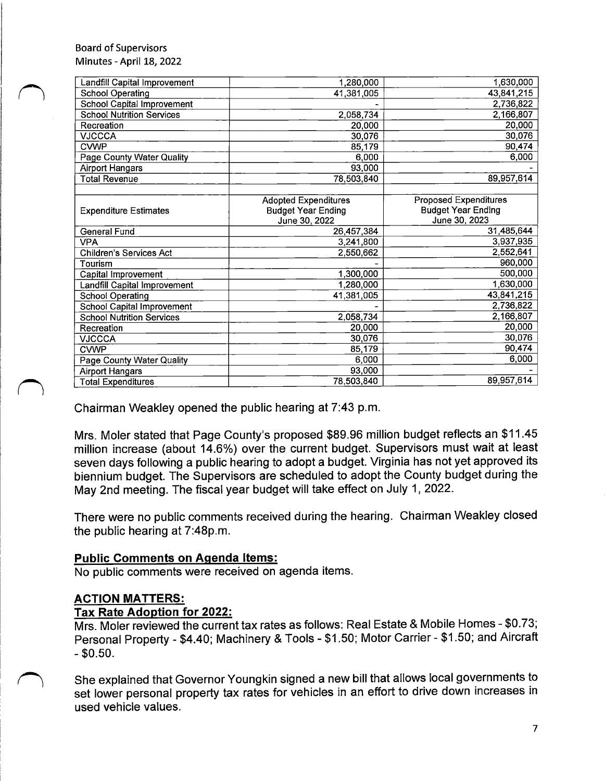| Landfill Capital Improvement      | 1,280,000                   | 1,630,000                    |  |
|-----------------------------------|-----------------------------|------------------------------|--|
| <b>School Operating</b>           | 41,381,005                  | 43,841,215                   |  |
| School Capital Improvement        |                             | 2,736,822                    |  |
| <b>School Nutrition Services</b>  | 2,058,734                   | 2,166,807                    |  |
| Recreation                        | 20,000                      | 20,000                       |  |
| <b>VJCCCA</b>                     | 30,076                      | 30,076                       |  |
| <b>CVWP</b>                       | 85,179                      | 90,474                       |  |
| <b>Page County Water Quality</b>  | 6,000                       | 6,000                        |  |
| <b>Airport Hangars</b>            | 93,000                      |                              |  |
| <b>Total Revenue</b>              | 78,503,840                  | 89,957,614                   |  |
|                                   |                             |                              |  |
|                                   | <b>Adopted Expenditures</b> | <b>Proposed Expenditures</b> |  |
| <b>Expenditure Estimates</b>      | <b>Budget Year Ending</b>   | <b>Budget Year Ending</b>    |  |
|                                   | June 30, 2022               | June 30, 2023                |  |
| General Fund                      | 26,457,384                  | 31,485,644                   |  |
| <b>VPA</b>                        | 3,241,800                   | 3,937,935                    |  |
| <b>Children's Services Act</b>    | 2,550,662                   | 2,552,641                    |  |
| Tourism                           |                             | 960,000                      |  |
| Capital Improvement               | 1,300,000                   | 500,000                      |  |
| Landfill Capital Improvement      | 1,280,000                   | 1,630,000                    |  |
| <b>School Operating</b>           | 41,381,005                  | 43,841,215                   |  |
| <b>School Capital Improvement</b> |                             | 2,736,822                    |  |
| <b>School Nutrition Services</b>  | 2,058,734                   | 2,166,807                    |  |
| Recreation                        | 20,000                      | 20,000                       |  |
| <b>VJCCCA</b>                     | 30,076                      | 30,076                       |  |
| <b>CVWP</b>                       | 85,179                      | 90,474                       |  |
| Page County Water Quality         | 6,000                       | 6,000                        |  |
| <b>Airport Hangars</b>            | 93,000                      |                              |  |
| <b>Total Expenditures</b>         | 78,503,840                  | 89,957,614                   |  |

Chairman Weakley opened the public hearing at 7: 43 p. m.

Mrs. Moler stated that Page County's proposed \$89.96 million budget reflects an \$11.45 million increase (about 14.6%) over the current budget. Supervisors must wait at least seven days following a public hearing to adopt a budget. Virginia has not yet approved its biennium budget. The Supervisors are scheduled to adopt the County budget during the May 2nd meeting. The fiscal year budget will take effect on July 1, 2022.

There were no public comments received during the hearing. Chairman Weakley closed the public hearing at 7:48p.m.

### Public Comments on Agenda Items:

No public comments were received on agenda items.

### ACTION MATTERS:

### Tax Rate Adoption for 2022:

Mrs. Moler reviewed the current tax rates as follows: Real Estate & Mobile Homes - \$0.73; Personal Property - \$4.40; Machinery & Tools - \$1.50; Motor Carrier - \$1.50; and Aircraft  $-$  \$0.50.

She explained that Governor Youngkin signed a new bill that allows local governments to set lower personal property tax rates for vehicles in an effort to drive down increases in used vehicle values.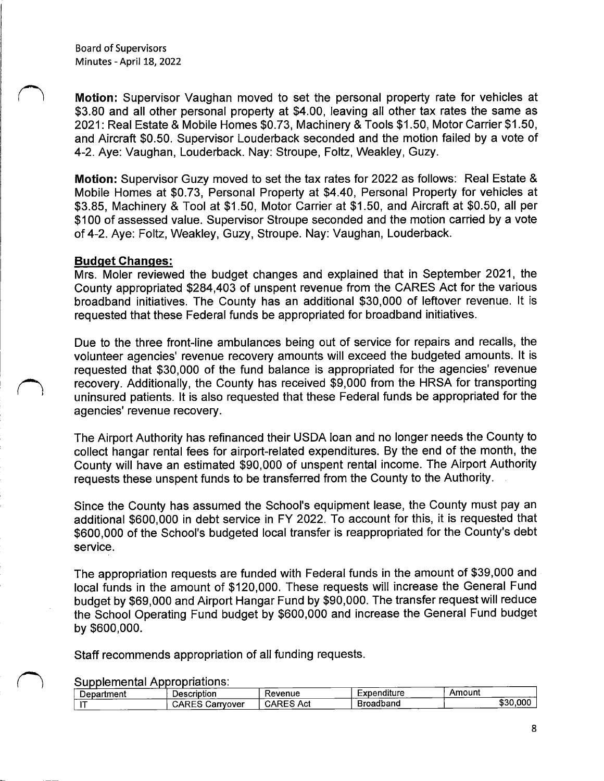Motion: Supervisor Vaughan moved to set the personal property rate for vehicles at \$3.80 and all other personal property at \$4.00, leaving all other tax rates the same as 2021: Real Estate & Mobile Homes \$0.73, Machinery & Tools \$1.50, Motor Carrier \$1.50, and Aircraft \$0. 50. Supervisor Louderback seconded and the motion failed by a vote of 4-2. Aye: Vaughan, Louderback. Nay: Stroupe, Foltz, Weakley, Guzy.

Motion: Supervisor Guzy moved to set the tax rates for 2022 as follows: Real Estate & Mobile Homes at \$0.73, Personal Property at \$4.40, Personal Property for vehicles at \$3.85, Machinery & Tool at \$1.50, Motor Carrier at \$1.50, and Aircraft at \$0.50, all per \$100 of assessed value. Supervisor Stroupe seconded and the motion carried by a vote of 4-2. Aye: Foltz, Weakley, Guzy, Stroupe. Nay: Vaughan, Louderback.

#### Budget Changes:

Mrs. Moler reviewed the budget changes and explained that in September 2021, the County appropriated \$284,403 of unspent revenue from the CARES Act for the various broadband initiatives. The County has an additional \$30,000 of leftover revenue. It is requested that these Federal funds be appropriated for broadband initiatives.

Due to the three front-line ambulances being out of service for repairs and recalls, the volunteer agencies' revenue recovery amounts will exceed the budgeted amounts. It is requested that \$30,000 of the fund balance is appropriated for the agencies' revenue recovery. Additionally, the County has received \$9,000 from the HRSA for transporting uninsured patients. It is also requested that these Federal funds be appropriated for the agencies' revenue recovery.

The Airport Authority has refinanced their USDA loan and no longer needs the County to collect hangar rental fees for airport-related expenditures. By the end of the month, the County will have an estimated \$90,000 of unspent rental income. The Airport Authority requests these unspent funds to be transferred from the County to the Authority.

Since the County has assumed the School's equipment lease, the County must pay an additional \$600,000 in debt service in FY 2022. To account for this, it is requested that \$600,000 of the School's budgeted local transfer is reappropriated for the County's debt service.

The appropriation requests are funded with Federal funds in the amount of \$39,000 and local funds in the amount of \$120,000. These requests will increase the General Fund budget by \$69,000 and Airport Hangar Fund by \$90,000. The transfer request will reduce the School Operating Fund budget by \$600,000 and increase the General Fund budget by \$600,000.

Staff recommends appropriation of all funding requests.

Supplemental Appropriations:

| Department               | Description         | Revenue            | Expenditure | Amount   |
|--------------------------|---------------------|--------------------|-------------|----------|
| $\overline{\phantom{a}}$ | CARES.<br>Carrvover | <b>ADES</b><br>Act | Broadband   | \$30,000 |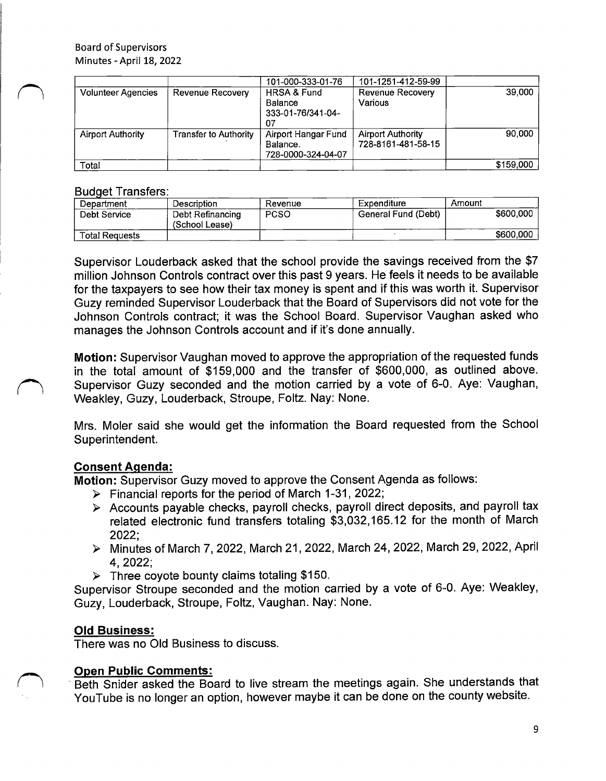|                           |                              | 101-000-333-01-76                                                   | 101-1251-412-59-99                             |           |
|---------------------------|------------------------------|---------------------------------------------------------------------|------------------------------------------------|-----------|
| <b>Volunteer Agencies</b> | Revenue Recovery             | <b>HRSA &amp; Fund</b><br><b>Balance</b><br>333-01-76/341-04-<br>07 | <b>Revenue Recovery</b><br>Various             | 39,000    |
| <b>Airport Authority</b>  | <b>Transfer to Authority</b> | Airport Hangar Fund<br>Balance.<br>728-0000-324-04-07               | <b>Airport Authority</b><br>728-8161-481-58-15 | 90.000    |
| Total                     |                              |                                                                     |                                                | \$159,000 |

### Budget Transfers:

| Department            | Description                        | Revenue     | Expenditure         | Amount    |
|-----------------------|------------------------------------|-------------|---------------------|-----------|
| Debt Service          | Debt Refinancing<br>(School Lease) | <b>PCSO</b> | General Fund (Debt) | \$600,000 |
| <b>Total Requests</b> |                                    |             |                     | \$600,000 |

Supervisor Louderback asked that the school provide the savings received from the \$7 million Johnson Controls contract over this past 9 years. He feels it needs to be available for the taxpayers to see how their tax money is spent and if this was worth it. Supervisor Guzy reminded Supervisor Louderback that the Board of Supervisors did not vote for the Johnson Controls contract; it was the School Board. Supervisor Vaughan asked who manages the Johnson Controls account and if it's done annually.

Motion: Supervisor Vaughan moved to approve the appropriation of the requested funds in the total amount of \$159,000 and the transfer of \$600,000, as outlined above. Supervisor Guzy seconded and the motion carried by a vote of 6-0. Aye: Vaughan, Weakley, Guzy, Louderback, Stroupe, Foltz. Nay: None.

Mrs. Moler said she would get the information the Board requested from the School Superintendent.

# Consent Agenda:

 $\overline{\phantom{0}}$ 

Motion: Supervisor Guzy moved to approve the Consent Agenda as follows:

- $\triangleright$  Financial reports for the period of March 1-31, 2022;
- Accounts payable checks, payroll checks, payroll direct deposits, and payroll tax related electronic fund transfers totaling \$3,032,165.12 for the month of March 2022;
- Minutes of March 7, 2022, March 21, 2022, March 24, 2022, March 29, 2022, April 4, 2022;
- $\triangleright$  Three coyote bounty claims totaling \$150.

Supervisor Stroupe seconded and the motion carried by a vote of 6-0. Aye: Weakley, Guzy, Louderback, Stroupe, Foltz, Vaughan. Nay: None.

# Old Business:

There was no Old Business to discuss.

# Open Public Comments:

n Beth Snider asked the Board to live stream the meetings again. She understands that YouTube is no longer an option, however maybe it can be done on the county website.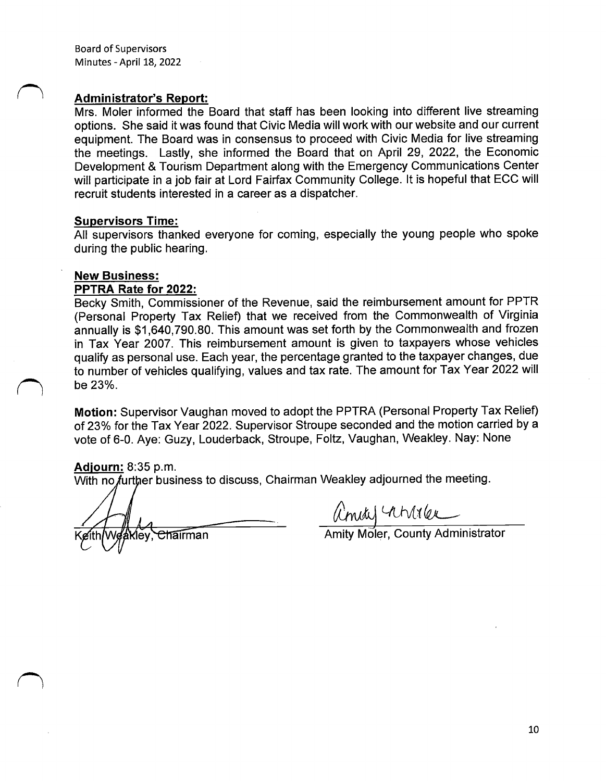#### Administrator's Report:

Mrs. Moler informed the Board that staff has been looking into different live streaming options. She said it was found that Civic Media will work with our website and our current equipment. The Board was in consensus to proceed with Civic Media for live streaming the meetings. Lastly, she informed the Board that on April 29, 2022, the Economic Development & Tourism Department along with the Emergency Communications Center will participate in a job fair at Lord Fairfax Community College. It is hopeful that ECC will recruit students interested in a career as a dispatcher.

#### Supervisors Time:

All supervisors thanked everyone for coming, especially the young people who spoke during the public hearing.

### New Business:

#### PPTRA Rate for 2022:

Becky Smith, Commissioner of the Revenue, said the reimbursement amount for PPTR Personal Property Tax Relief) that we received from the Commonwealth of Virginia annually is \$1,640,790.80. This amount was set forth by the Commonwealth and frozen in Tax Year 2007. This reimbursement amount is given to taxpayers whose vehicles qualify as personal use. Each year, the percentage granted to the taxpayer changes, due to number of vehicles qualifying, values and tax rate. The amount for Tax Year 2022 will be 23%.

Motion: Supervisor Vaughan moved to adopt the PPTRA (Personal Property Tax Relief) of 23% for the Tax Year 2022. Supervisor Stroupe seconded and the motion carried by a vote of 6-0. Aye: Guzy, Louderback, Stroupe, Foltz, Vaughan, Weakley. Nay: None

Adjourn: 8: 35 p. m.

1

With no further business to discuss, Chairman Weakley adjourned the meeting.

A<br>They, Chairman **Amity Moler, County Administrator**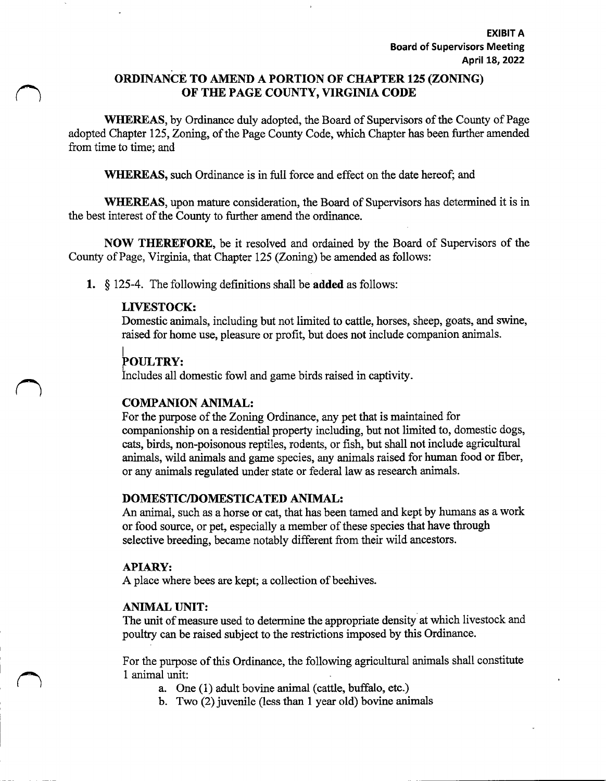## ORDINANCE TO AMEND A PORTION OF CHAPTER 125( ZONING) OF THE PAGE COUNTY, VIRGINIA CODE

WHEREAS, by Ordinance duly adopted, the Board of Supervisors of the County of Page adopted Chapter 125, Zoning, of the Page County Code, which Chapter has been further amended from time to time; and

WHEREAS, such Ordinance is in full force and effect on the date hereof; and

WHEREAS, upon mature consideration, the Board of Supervisors has determined it is in the best interest of the County to further amend the ordinance.

NOW THEREFORE, be it resolved and ordained by the Board of Supervisors of the County of Page, Virginia, that Chapter 125 (Zoning) be amended as follows:

1.  $\S$  125-4. The following definitions shall be added as follows:

## LIVESTOCK:

Domestic animals, including but not limited to cattle, horses, sheep, goats, and swine, raised for home use, pleasure or profit, but does not include companion animals.

# 1 POULTRY:

Includes all domestic fowl and game birds raised in captivity.

### COMPANION ANIMAL:

For the purpose of the Zoning Ordinance, any pet that is maintained for companionship on a residential property including, but not limited to, domestic dogs, cats, birds, non-poisonous reptiles, rodents, or fish, but shall not include agricultural animals, wild animals and game species, any animals raised for human food or fiber, or any animals regulated under state or federal law as research animals.

### DOMESTIC/DOMESTICATED ANIMAL:

An animal, such as a horse or cat, that has been tamed and kept by humans as a work or food source, or pet, especially a member of these species that have through selective breeding, became notably different from their wild ancestors.

### APIARY:

A place where bees are kept; a collection of beehives.

### ANIMAL UNIT:

The unit of measure used to determine the appropriate density at which livestock and poultry can be raised subject to the restrictions imposed by this Ordinance.

For the purpose of this Ordinance, the following agricultural animals shall constitute 1 animal unit:

- a. One (1) adult bovine animal (cattle, buffalo, etc.)
- b. Two (2) juvenile (less than <sup>1</sup> year old) bovine animals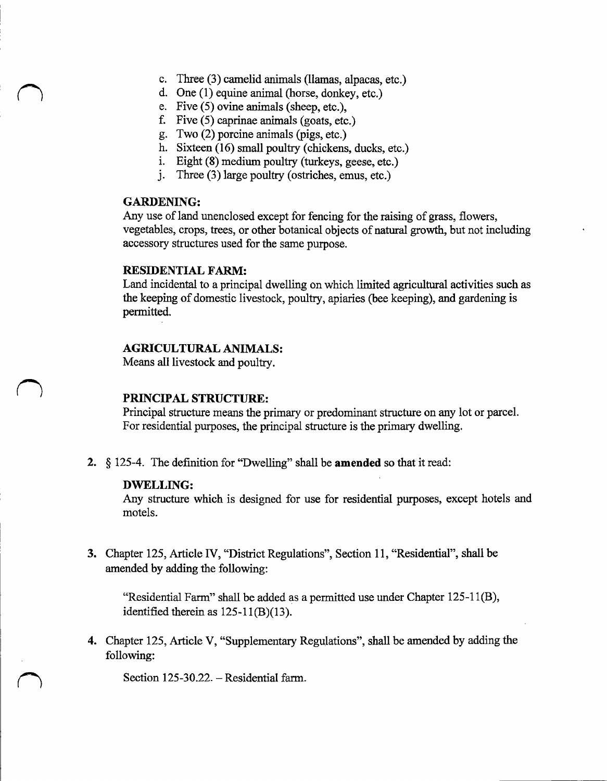- c. Three (3) camelid animals (llamas, alpacas, etc.)
- d. One (1) equine animal (horse, donkey, etc.)
- e. Five  $(5)$  ovine animals (sheep, etc.),
- f. Five (5) caprinae animals (goats, etc.)
- g. Two (2) porcine animals (pigs, etc.)
- h. Sixteen (16) small poultry (chickens, ducks, etc.)
- i. Eight (8) medium poultry (turkeys, geese, etc.)
- j. Three (3) large poultry (ostriches, emus, etc.)

#### GARDENING:

Any use of land unenclosed except for fencing for the raising of grass, flowers, vegetables, crops, trees, or other botanical objects of natural growth, but not including accessory structures used for the same purpose.

#### RESIDENTIAL FARM:

Land incidental to a principal dwelling on which limited agricultural activities such as the keeping of domestic livestock, poultry, apiaries (bee keeping), and gardening is permitted.

#### AGRICULTURAL ANIMALS:

Means all livestock and poultry.

### PRINCIPAL STRUCTURE:

Principal structure means the primary or predominant structure on any lot or parcel. For residential purposes, the principal structure is the primary dwelling.

2.  $\S$  125-4. The definition for "Dwelling" shall be **amended** so that it read:

#### DWELLING:

Any structure which is designed for use for residential purposes, except hotels and motels.

3. Chapter 125, Article IV, "District Regulations", Section 11, " Residential", shall be amended by adding the following:

"Residential Farm" shall be added as a permitted use under Chapter  $125-11(B)$ , identified therein as  $125-11(B)(13)$ .

4. Chapter 125, Article V, "Supplementary Regulations", shall be amended by adding the following:

Section 125-30.22. – Residential farm.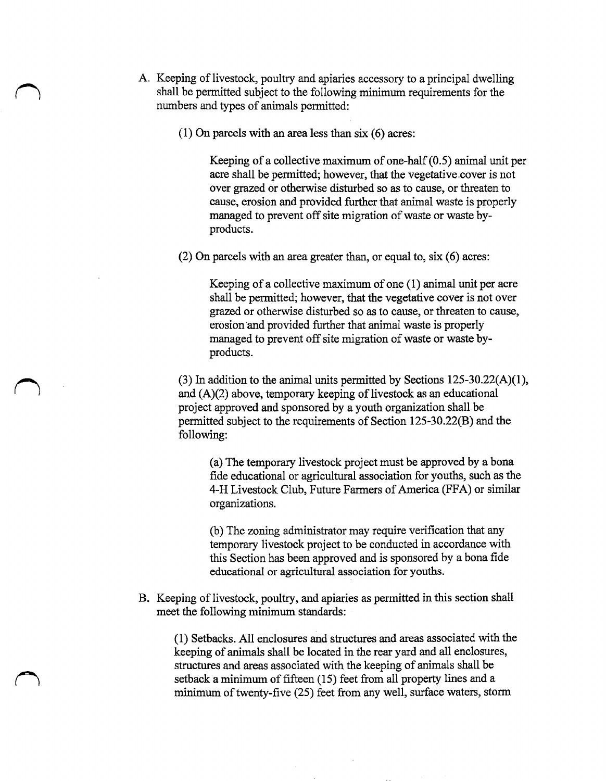- A. Keeping of livestock, poultry and apiaries accessory to <sup>a</sup> principal dwelling shall be permitted subject to the following minimum requirements for the numbers and types of animals permitted:
	- $(1)$  On parcels with an area less than six  $(6)$  acres:

Keeping of a collective maximum of one-half  $(0.5)$  animal unit per acre shall be permitted; however, that the vegetative.cover is not over grazed or otherwise disturbed so as to cause, or threaten to cause, erosion and provided further that animal waste is properly managed to prevent off site migration of waste or waste byproducts.

2) On parcels with an area greater than, or equal to, six( 6) acres:

Keeping of a collective maximum of one  $(1)$  animal unit per acre shall be permitted; however, that the vegetative cover is not over grazed or otherwise disturbed so as to cause, or threaten to cause, erosion and provided further that animal waste is properly managed to prevent off site migration of waste or waste byproducts.

(3) In addition to the animal units permitted by Sections  $125-30.22(A)(1)$ , and  $(A)(2)$  above, temporary keeping of livestock as an educational project approved and sponsored by a youth organization shall be permitted subject to the requirements of Section 125-30.22(B) and the following:

a) The temporary livestock project must be approved by a bona fide educational or agricultural association for youths, such as the 4-H Livestock Club, Future Farmers of America (FFA) or similar organizations.

b) The zoning administrator may require verification that any temporary livestock project to be conducted in accordance with this Section has been approved and is sponsored by a bona fide educational or agricultural association for youths.

B. Keeping of livestock, poultry, and apiaries as permitted in this section shall meet the following minimum standards:

reE

1) Setbacks. All enclosures and structures and areas associated with the keeping of animals shall be located in the rear yard and all enclosures, structures and areas associated with the keeping of animals shall be setback a minimum of fifteen (15) feet from all property lines and a minimum of twenty-five  $(25)$  feet from any well, surface waters, storm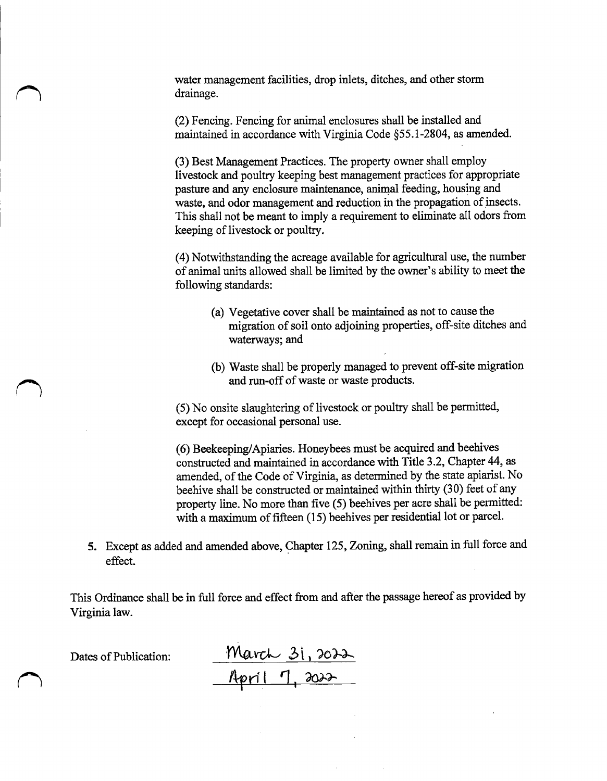water management facilities, drop inlets, ditches, and other storm drainage.

2) Fencing. Fencing for animal enclosures shall be installed and maintained in accordance with Virginia Code §55.1-2804, as amended.

3) Best Management Practices. The property owner shall employ livestock and poultry keeping best management practices for appropriate pasture and any enclosure maintenance, animal feeding, housing and waste, and odor management and reduction in the propagation of insects. This shall not be meant to imply a requirement to eliminate all odors from keeping of livestock or poultry.

4) Notwithstanding the acreage available for agricultural use, the number of animal units allowed shall be limited by the owner' <sup>s</sup> ability to meet the following standards:

- a) Vegetative cover shall be maintained as not to cause the migration of soil onto adjoining properties, off-site ditches and waterways; and
- b) Waste shall be properly managed to prevent off-site migration and run-off of waste or waste products.

5) No onsite slaughtering of livestock or poultry shall be permitted, except for occasional personal use.

6) Beekeeping/Apiaries. Honeybees must be acquired and beehives constructed and maintained in accordance with Title 3.2, Chapter 44, as amended, of the Code of Virginia, as determined by the state apiarist. No beehive shall be constructed or maintained within thirty (30) feet of any property line. No more than five( 5) beehives per acre shall be permitted: with a maximum of fifteen (15) beehives per residential lot or parcel.

5. Except as added and amended above, Chapter 125, Zoning, shall remain in full force and effect.

This Ordinance shall be in full force and effect from and after the passage hereof as provided by Virginia law.

Dates of Publication: March 31, 2022 <u>April 7, 202</u>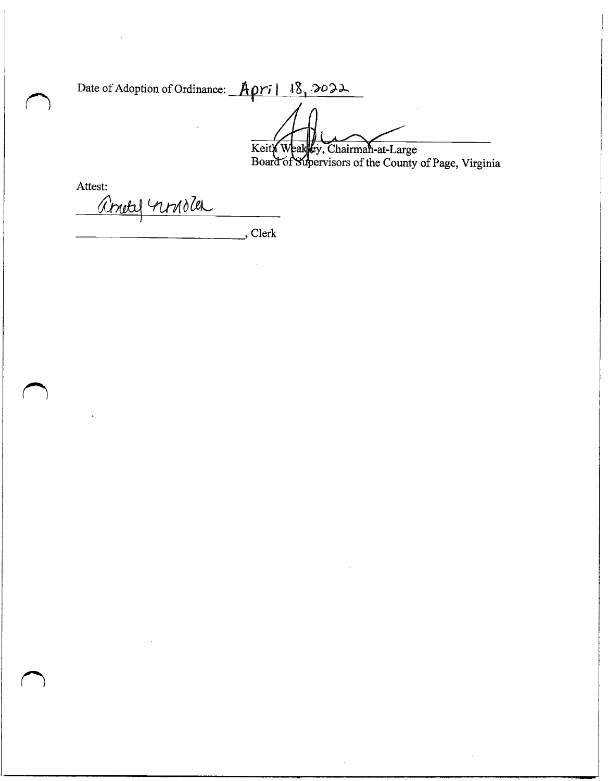Date of Adoption of Ordinance: April 18, 2022 Keith Weakley, Chairman-at-Large Board of Supervisors of the County of Page, Virginia

Attest: <u>Annely nonder</u>

 $\bigcap$ 

 $\bigcap$ 

Clerk